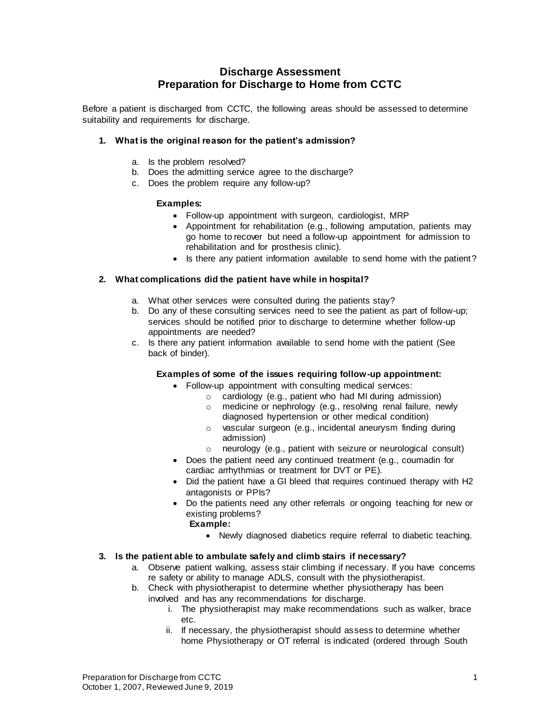# **Discharge Assessment Preparation for Discharge to Home from CCTC**

Before a patient is discharged from CCTC, the following areas should be assessed to determine suitability and requirements for discharge.

# **1. What is the original reason for the patient's admission?**

- a. Is the problem resolved?
- b. Does the admitting service agree to the discharge?
- c. Does the problem require any follow-up?

# **Examples:**

- Follow-up appointment with surgeon, cardiologist, MRP
- Appointment for rehabilitation (e.g., following amputation, patients may go home to recover but need a follow-up appointment for admission to rehabilitation and for prosthesis clinic).
- Is there any patient information available to send home with the patient?

# **2. What complications did the patient have while in hospital?**

- a. What other services were consulted during the patients stay?
- b. Do any of these consulting services need to see the patient as part of follow-up; services should be notified prior to discharge to determine whether follow-up appointments are needed?
- c. Is there any patient information available to send home with the patient (See back of binder).

# **Examples of some of the issues requiring follow-up appointment:**

- Follow-up appointment with consulting medical services:
	- o cardiology (e.g., patient who had MI during admission)
		- o medicine or nephrology (e.g., resolving renal failure, newly diagnosed hypertension or other medical condition)
		- o vascular surgeon (e.g., incidental aneurysm finding during admission)
	- o neurology (e.g., patient with seizure or neurological consult)
- Does the patient need any continued treatment (e.g., coumadin for cardiac arrhythmias or treatment for DVT or PE).
- Did the patient have a GI bleed that requires continued therapy with H2 antagonists or PPIs?
- Do the patients need any other referrals or ongoing teaching for new or existing problems?
	- **Example:**
		- Newly diagnosed diabetics require referral to diabetic teaching.

# **3. Is the patient able to ambulate safely and climb stairs if necessary?**

- a. Observe patient walking, assess stair climbing if necessary. If you have concerns re safety or ability to manage ADLS, consult with the physiotherapist.
- b. Check with physiotherapist to determine whether physiotherapy has been involved and has any recommendations for discharge.
	- i. The physiotherapist may make recommendations such as walker, brace etc.
	- ii. If necessary, the physiotherapist should assess to determine whether home Physiotherapy or OT referral is indicated (ordered through South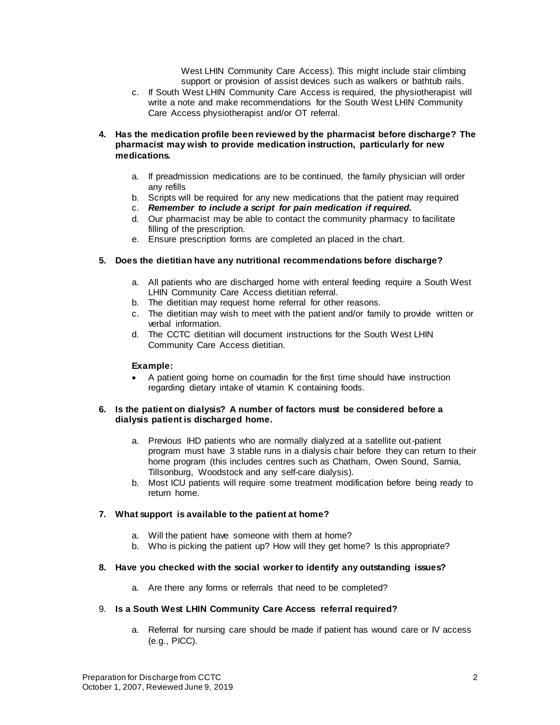West LHIN Community Care Access). This might include stair climbing support or provision of assist devices such as walkers or bathtub rails.

- c. If South West LHIN Community Care Access is required, the physiotherapist will write a note and make recommendations for the South West LHIN Community Care Access physiotherapist and/or OT referral.
- **4. Has the medication profile been reviewed by the pharmacist before discharge? The pharmacist may wish to provide medication instruction, particularly for new medications.** 
	- a. If preadmission medications are to be continued, the family physician will order any refills
	- b. Scripts will be required for any new medications that the patient may required
	- c. *Remember to include a script for pain medication if required.*
	- d. Our pharmacist may be able to contact the community pharmacy to facilitate filling of the prescription.
	- e. Ensure prescription forms are completed an placed in the chart.

# **5. Does the dietitian have any nutritional recommendations before discharge?**

- a. All patients who are discharged home with enteral feeding require a South West LHIN Community Care Access dietitian referral.
- b. The dietitian may request home referral for other reasons.
- c. The dietitian may wish to meet with the patient and/or family to provide written or verbal information.
- d. The CCTC dietitian will document instructions for the South West LHIN Community Care Access dietitian.

# **Example:**

 A patient going home on coumadin for the first time should have instruction regarding dietary intake of vitamin K containing foods.

#### **6. Is the patient on dialysis? A number of factors must be considered before a dialysis patient is discharged home.**

- a. Previous IHD patients who are normally dialyzed at a satellite out-patient program must have 3 stable runs in a dialysis chair before they can return to their home program (this includes centres such as Chatham, Owen Sound, Sarnia, Tillsonburg, Woodstock and any self-care dialysis).
- b. Most ICU patients will require some treatment modification before being ready to return home.

# **7. What support is available to the patient at home?**

- a. Will the patient have someone with them at home?
- b. Who is picking the patient up? How will they get home? Is this appropriate?

# **8. Have you checked with the social worker to identify any outstanding issues?**

a. Are there any forms or referrals that need to be completed?

# 9. **Is a South West LHIN Community Care Access referral required?**

a. Referral for nursing care should be made if patient has wound care or IV access (e.g., PICC).